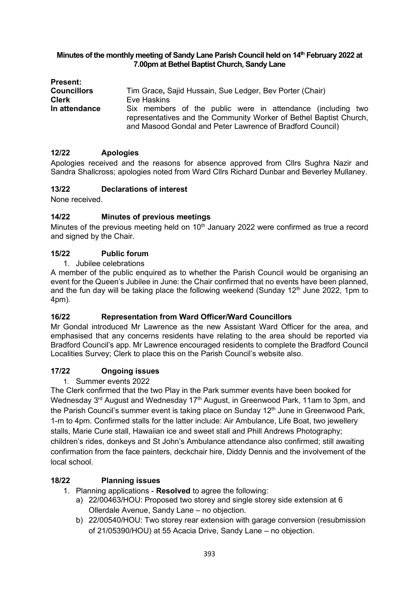#### **Minutes of the monthly meeting of Sandy Lane Parish Council held on 14 th February 2022 at 7.00pm at Bethel Baptist Church, Sandy Lane**

| <b>Present:</b>    |                                                                                                                                                                                                |
|--------------------|------------------------------------------------------------------------------------------------------------------------------------------------------------------------------------------------|
| <b>Councillors</b> | Tim Grace, Sajid Hussain, Sue Ledger, Bev Porter (Chair)                                                                                                                                       |
| <b>Clerk</b>       | Eve Haskins                                                                                                                                                                                    |
| In attendance      | Six members of the public were in attendance (including two<br>representatives and the Community Worker of Bethel Baptist Church,<br>and Masood Gondal and Peter Lawrence of Bradford Council) |

# **12/22 Apologies**

Apologies received and the reasons for absence approved from Cllrs Sughra Nazir and Sandra Shallcross; apologies noted from Ward Cllrs Richard Dunbar and Beverley Mullaney.

#### **13/22 Declarations of interest**

None received.

# **14/22 Minutes of previous meetings**

Minutes of the previous meeting held on 10<sup>th</sup> January 2022 were confirmed as true a record and signed by the Chair.

#### **15/22 Public forum**

1. Jubilee celebrations

A member of the public enquired as to whether the Parish Council would be organising an event for the Queen's Jubilee in June: the Chair confirmed that no events have been planned, and the fun day will be taking place the following weekend (Sunday  $12<sup>th</sup>$  June 2022, 1pm to 4pm).

# **16/22 Representation from Ward Officer/Ward Councillors**

Mr Gondal introduced Mr Lawrence as the new Assistant Ward Officer for the area, and emphasised that any concerns residents have relating to the area should be reported via Bradford Council's app. Mr Lawrence encouraged residents to complete the Bradford Council Localities Survey; Clerk to place this on the Parish Council's website also.

# **17/22 Ongoing issues**

1. Summer events 2022

The Clerk confirmed that the two Play in the Park summer events have been booked for Wednesday 3<sup>rd</sup> August and Wednesday 17<sup>th</sup> August, in Greenwood Park, 11am to 3pm, and the Parish Council's summer event is taking place on Sunday 12<sup>th</sup> June in Greenwood Park, 1-m to 4pm. Confirmed stalls for the latter include: Air Ambulance, Life Boat, two jewellery stalls, Marie Curie stall, Hawaiian ice and sweet stall and Phill Andrews Photography; children's rides, donkeys and St John's Ambulance attendance also confirmed; still awaiting confirmation from the face painters, deckchair hire, Diddy Dennis and the involvement of the local school.

# **18/22 Planning issues**

- 1. Planning applications **Resolved** to agree the following:
	- a) 22/00463/HOU: Proposed two storey and single storey side extension at 6 Ollerdale Avenue, Sandy Lane – no objection.
	- b) 22/00540/HOU: Two storey rear extension with garage conversion (resubmission of 21/05390/HOU) at 55 Acacia Drive, Sandy Lane – no objection.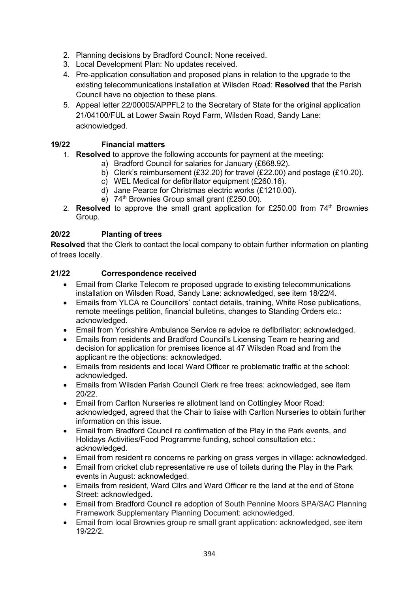- 2. Planning decisions by Bradford Council: None received.
- 3. Local Development Plan: No updates received.
- 4. Pre-application consultation and proposed plans in relation to the upgrade to the existing telecommunications installation at Wilsden Road: **Resolved** that the Parish Council have no objection to these plans.
- 5. Appeal letter 22/00005/APPFL2 to the Secretary of State for the original application 21/04100/FUL at Lower Swain Royd Farm, Wilsden Road, Sandy Lane: acknowledged.

# **19/22 Financial matters**

- 1. **Resolved** to approve the following accounts for payment at the meeting:
	- a) Bradford Council for salaries for January (£668.92).
	- b) Clerk's reimbursement (£32.20) for travel (£22.00) and postage (£10.20).
	- c) WEL Medical for defibrillator equipment (£260.16).
	- d) Jane Pearce for Christmas electric works (£1210.00).
	- e)  $74<sup>th</sup>$  Brownies Group small grant (£250.00).
- 2. **Resolved** to approve the small grant application for £250.00 from 74<sup>th</sup> Brownies Group.

# **20/22 Planting of trees**

**Resolved** that the Clerk to contact the local company to obtain further information on planting of trees locally.

#### **21/22 Correspondence received**

- Email from Clarke Telecom re proposed upgrade to existing telecommunications installation on Wilsden Road, Sandy Lane: acknowledged, see item 18/22/4.
- Emails from YLCA re Councillors' contact details, training, White Rose publications, remote meetings petition, financial bulletins, changes to Standing Orders etc.: acknowledged.
- Email from Yorkshire Ambulance Service re advice re defibrillator: acknowledged.
- Emails from residents and Bradford Council's Licensing Team re hearing and decision for application for premises licence at 47 Wilsden Road and from the applicant re the objections: acknowledged.
- Emails from residents and local Ward Officer re problematic traffic at the school: acknowledged.
- Emails from Wilsden Parish Council Clerk re free trees: acknowledged, see item 20/22.
- Email from Carlton Nurseries re allotment land on Cottingley Moor Road: acknowledged, agreed that the Chair to liaise with Carlton Nurseries to obtain further information on this issue.
- Email from Bradford Council re confirmation of the Play in the Park events, and Holidays Activities/Food Programme funding, school consultation etc.: acknowledged.
- Email from resident re concerns re parking on grass verges in village: acknowledged.
- Email from cricket club representative re use of toilets during the Play in the Park events in August: acknowledged.
- Emails from resident, Ward Cllrs and Ward Officer re the land at the end of Stone Street: acknowledged.
- Email from Bradford Council re adoption of South Pennine Moors SPA/SAC Planning Framework Supplementary Planning Document: acknowledged.
- Email from local Brownies group re small grant application: acknowledged, see item 19/22/2.